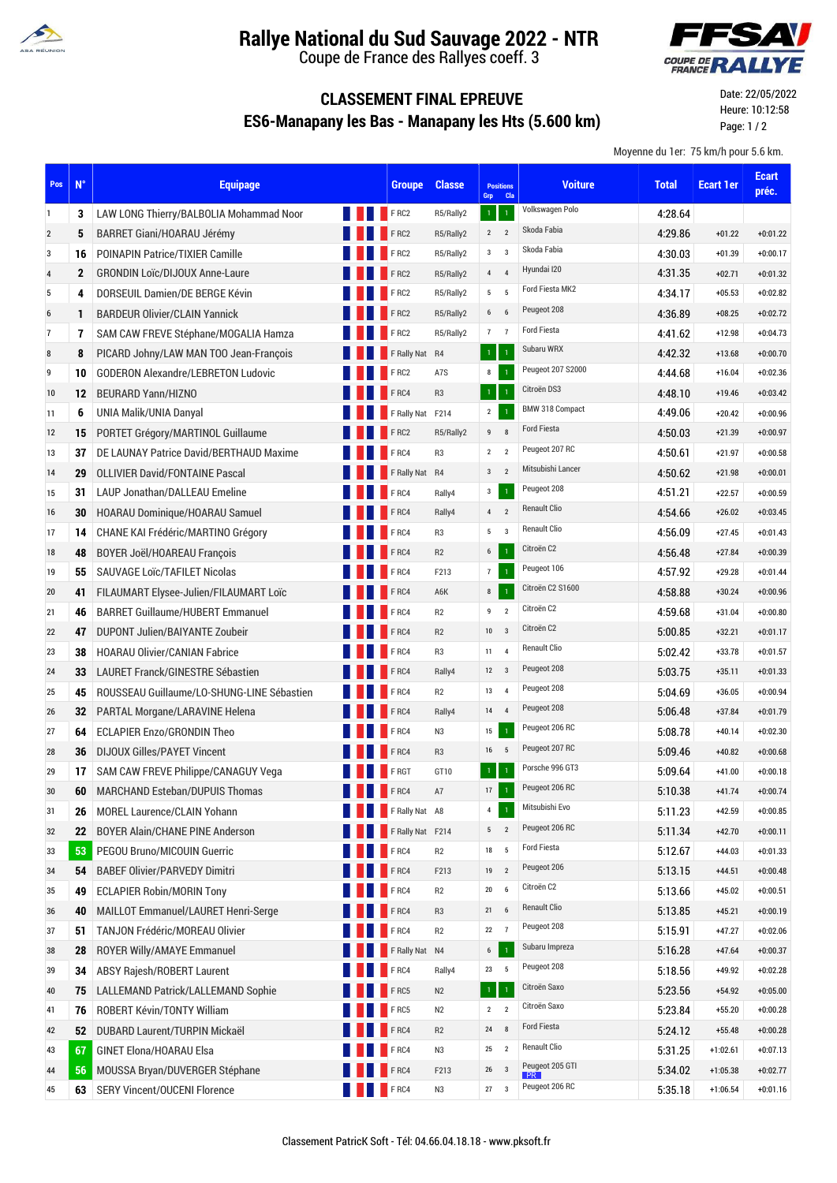

## **Rallye National du Sud Sauvage 2022 - NTR**

Coupe de France des Rallyes coeff. 3



## **CLASSEMENT FINAL EPREUVE ES6-Manapany les Bas - Manapany les Hts (5.600 km)**

Date: 22/05/2022 Heure: 10:12:58 Page: 1 / 2

Moyenne du 1er: 75 km/h pour 5.6 km.

| Pos | $N^{\circ}$  | <b>Equipage</b>                            |             | <b>Groupe</b>        | <b>Classe</b>  | <b>Positions</b><br>Cla<br>Grp             | <b>Voiture</b>      | <b>Total</b> | <b>Ecart 1er</b> | <b>Ecart</b><br>préc. |
|-----|--------------|--------------------------------------------|-------------|----------------------|----------------|--------------------------------------------|---------------------|--------------|------------------|-----------------------|
| 1   | 3            | LAW LONG Thierry/BALBOLIA Mohammad Noor    | <b>FRC2</b> |                      | R5/Rally2      | 1 <sup>1</sup><br>$\mathbf 1$              | Volkswagen Polo     | 4:28.64      |                  |                       |
| 2   | 5            | BARRET Giani/HOARAU Jérémy                 |             | <b>FRC2</b>          | R5/Rally2      | $\overline{2}$<br>$\overline{2}$           | Skoda Fabia         | 4:29.86      | $+01.22$         | $+0:01.22$            |
| 3   | 16           | <b>POINAPIN Patrice/TIXIER Camille</b>     |             | FRC2                 | R5/Rally2      | $3^{\circ}$ 3                              | Skoda Fabia         | 4:30.03      | $+01.39$         | $+0:00.17$            |
| 4   | $\mathbf{2}$ | <b>GRONDIN Loïc/DIJOUX Anne-Laure</b>      |             | FRC2                 | R5/Rally2      | 4<br>$\overline{4}$                        | Hyundai I20         | 4:31.35      | $+02.71$         | $+0:01.32$            |
| 5   | 4            | DORSEUIL Damien/DE BERGE Kévin             |             | FRC2                 | R5/Rally2      | $5\qquad 5$                                | Ford Fiesta MK2     | 4:34.17      | $+05.53$         | $+0:02.82$            |
| 6   | $\mathbf{1}$ | <b>BARDEUR Olivier/CLAIN Yannick</b>       |             | FRC2                 | R5/Rally2      | $6 \qquad 6$                               | Peugeot 208         | 4:36.89      | $+08.25$         | $+0:02.72$            |
| 7   | 7            | SAM CAW FREVE Stéphane/MOGALIA Hamza       |             | FRC2                 | R5/Rally2      | 7 <sub>7</sub>                             | Ford Fiesta         | 4:41.62      | $+12.98$         | $+0:04.73$            |
| 8   | 8            | PICARD Johny/LAW MAN TOO Jean-François     |             | F Rally Nat R4       |                | $\mathbf{1}$<br>$\overline{1}$             | Subaru WRX          | 4:42.32      | $+13.68$         | $+0:00.70$            |
| 9   | 10           | <b>GODERON Alexandre/LEBRETON Ludovic</b>  |             | FRC2                 | A7S            | $\overline{1}$<br>8                        | Peugeot 207 S2000   | 4:44.68      | $+16.04$         | $+0:02.36$            |
| 10  | 12           | <b>BEURARD Yann/HIZNO</b>                  |             | FRC4                 | R <sub>3</sub> | $1^\circ$<br>$\langle 1 \rangle$           | Citroën DS3         | 4:48.10      | $+19.46$         | $+0:03.42$            |
| 11  | 6            | UNIA Malik/UNIA Danyal                     |             | F Rally Nat F214     |                | $\mathbf 1$<br>$\mathbf{2}$                | BMW 318 Compact     | 4:49.06      | $+20.42$         | $+0:00.96$            |
| 12  | 15           | PORTET Grégory/MARTINOL Guillaume          |             | FRC2                 | R5/Rally2      | $\boldsymbol{8}$<br>9                      | <b>Ford Fiesta</b>  | 4:50.03      | $+21.39$         | $+0:00.97$            |
| 13  | 37           | DE LAUNAY Patrice David/BERTHAUD Maxime    |             | FRC4                 | R <sub>3</sub> | $\overline{2}$<br>$\overline{2}$           | Peugeot 207 RC      | 4:50.61      | $+21.97$         | $+0:00.58$            |
| 14  | 29           | <b>OLLIVIER David/FONTAINE Pascal</b>      |             | F Rally Nat R4       |                | 3 <sub>2</sub>                             | Mitsubishi Lancer   | 4:50.62      | $+21.98$         | $+0:00.01$            |
| 15  | 31           | LAUP Jonathan/DALLEAU Emeline              |             | FRC4                 | Rally4         | $\mathbf 1$<br>$\mathsf 3$                 | Peugeot 208         | 4:51.21      | $+22.57$         | $+0:00.59$            |
| 16  | 30           | HOARAU Dominique/HOARAU Samuel             |             | FRC4                 | Rally4         | $4\quad 2$                                 | <b>Renault Clio</b> | 4:54.66      | $+26.02$         | $+0:03.45$            |
| 17  | 14           | CHANE KAI Frédéric/MARTINO Grégory         |             | <b>FRC4</b>          | R <sub>3</sub> | $5^{\circ}$ 3                              | <b>Renault Clio</b> | 4:56.09      | $+27.45$         | $+0:01.43$            |
| 18  | 48           | <b>BOYER Joël/HOAREAU François</b>         |             | <b>FRC4</b>          | R2             | $6\overline{6}$<br>$\mathbf{1}$            | Citroën C2          | 4:56.48      | $+27.84$         | $+0:00.39$            |
| 19  | 55           | SAUVAGE Loïc/TAFILET Nicolas               |             | FRC4                 | F213           | 7 <sup>7</sup><br>$\mathbf 1$              | Peugeot 106         | 4:57.92      | $+29.28$         | $+0:01.44$            |
| 20  | 41           | FILAUMART Elysee-Julien/FILAUMART Loïc     |             | FRC4                 | A6K            | $\mathbf 1$<br>$\bf 8$                     | Citroën C2 S1600    | 4:58.88      | $+30.24$         | $+0:00.96$            |
| 21  | 46           | <b>BARRET Guillaume/HUBERT Emmanuel</b>    |             | F <sub>RC4</sub>     | R2             | $\boldsymbol{9}$<br>$\overline{2}$         | Citroën C2          | 4:59.68      | $+31.04$         | $+0:00.80$            |
| 22  | 47           | DUPONT Julien/BAIYANTE Zoubeir             |             | FRC4                 | R <sub>2</sub> | 10 <sup>°</sup><br>$\overline{\mathbf{3}}$ | Citroën C2          | 5:00.85      | $+32.21$         | $+0:01.17$            |
| 23  | 38           | <b>HOARAU Olivier/CANIAN Fabrice</b>       |             | F <sub>RC4</sub>     | R <sub>3</sub> | $\overline{4}$<br>11                       | Renault Clio        | 5:02.42      | $+33.78$         | $+0:01.57$            |
| 24  | 33           | LAURET Franck/GINESTRE Sébastien           |             | FRC4                 | Rally4         | $12 \qquad 3$                              | Peugeot 208         | 5:03.75      | $+35.11$         | $+0:01.33$            |
| 25  | 45           | ROUSSEAU Guillaume/LO-SHUNG-LINE Sébastien |             | FRC4                 | R2             | $\overline{4}$<br>13                       | Peugeot 208         | 5:04.69      | $+36.05$         | $+0:00.94$            |
| 26  | 32           | PARTAL Morgane/LARAVINE Helena             |             | FRC4                 | Rally4         | 14<br>$\overline{4}$                       | Peugeot 208         | 5:06.48      | $+37.84$         | $+0:01.79$            |
| 27  | 64           | <b>ECLAPIER Enzo/GRONDIN Theo</b>          |             | FRC4                 | N3             | $\mathbf{1}$<br>$15\,$                     | Peugeot 206 RC      | 5:08.78      | $+40.14$         | $+0:02.30$            |
| 28  | 36           | <b>DIJOUX Gilles/PAYET Vincent</b>         |             | FRC4                 | R <sub>3</sub> | 16 5                                       | Peugeot 207 RC      | 5:09.46      | $+40.82$         | $+0:00.68$            |
| 29  | 17           | SAM CAW FREVE Philippe/CANAGUY Vega        |             | F RGT                | GT10           | $\mathbf{1}$<br>$\,1\,$                    | Porsche 996 GT3     | 5:09.64      | $+41.00$         | $+0:00.18$            |
| 30  | 60           | MARCHAND Esteban/DUPUIS Thomas             |             | FRC4                 | A7             | $\mathbf{1}$<br>17                         | Peugeot 206 RC      | 5:10.38      | $+41.74$         | $+0:00.74$            |
| 31  | 26           | MOREL Laurence/CLAIN Yohann                |             | <b>FRally Nat A8</b> |                | $\mathbf 1$<br>$\overline{4}$              | Mitsubishi Evo      | 5:11.23      | $+42.59$         | $+0:00.85$            |
| 32  | 22           | <b>BOYER Alain/CHANE PINE Anderson</b>     |             | F Rally Nat F214     |                | $\overline{\mathbf{2}}$<br>5               | Peugeot 206 RC      | 5:11.34      | $+42.70$         | $+0:00.11$            |
| 33  | 53           | PEGOU Bruno/MICOUIN Guerric                |             | FRC4                 | R2             | $\overline{5}$<br>18                       | <b>Ford Fiesta</b>  | 5:12.67      | $+44.03$         | $+0:01.33$            |
| 34  | 54           | <b>BABEF Olivier/PARVEDY Dimitri</b>       |             | FRC4                 | F213           | $\overline{2}$<br>19                       | Peugeot 206         | 5:13.15      | $+44.51$         | $+0:00.48$            |
| 35  | 49           | <b>ECLAPIER Robin/MORIN Tony</b>           |             | FRC4                 | R <sub>2</sub> | $20\,$<br>$6\phantom{1}6$                  | Citroën C2          | 5:13.66      | $+45.02$         | $+0:00.51$            |
| 36  | 40           | MAILLOT Emmanuel/LAURET Henri-Serge        |             | FRC4                 | R <sub>3</sub> | $\,6\,$<br>21                              | Renault Clio        | 5:13.85      | $+45.21$         | $+0:00.19$            |
| 37  | 51           | <b>TANJON Frédéric/MOREAU Olivier</b>      |             | FRC4                 | R <sub>2</sub> | $\overline{7}$<br>$22\,$                   | Peugeot 208         | 5:15.91      | $+47.27$         | $+0:02.06$            |
| 38  | 28           | ROYER Willy/AMAYE Emmanuel                 |             | F Rally Nat N4       |                | $\mathbf 1$<br>$\boldsymbol{6}$            | Subaru Impreza      | 5:16.28      | $+47.64$         | $+0:00.37$            |
| 39  | 34           | ABSY Rajesh/ROBERT Laurent                 |             | FRC4                 | Rally4         | $23\,$<br>5                                | Peugeot 208         | 5:18.56      | +49.92           | $+0:02.28$            |
| 40  | 75           | <b>LALLEMAND Patrick/LALLEMAND Sophie</b>  |             | FRC5                 | N <sub>2</sub> | $\mathbf{1}$<br>$\langle 1 \rangle$        | Citroën Saxo        | 5:23.56      | $+54.92$         | $+0:05.00$            |
| 41  | 76           | ROBERT Kévin/TONTY William                 |             | FRC5                 | N2             | $\overline{2}$<br>$\overline{2}$           | Citroën Saxo        | 5:23.84      | $+55.20$         | $+0:00.28$            |
| 42  | 52           | DUBARD Laurent/TURPIN Mickaël              |             | FRC4                 | R <sub>2</sub> | 8<br>${\bf 24}$                            | Ford Fiesta         | 5.24.12      | $+55.48$         | $+0:00.28$            |
| 43  | 67           | GINET Elona/HOARAU Elsa                    |             | FRC4                 | N3             | 25<br>$\overline{2}$                       | <b>Renault Clio</b> | 5:31.25      | $+1:02.61$       | $+0:07.13$            |
| 44  | 56           | MOUSSA Bryan/DUVERGER Stéphane             |             | FRC4                 | F213           | 26<br>$\overline{3}$                       | Peugeot 205 GTI     | 5:34.02      | $+1:05.38$       | $+0:02.77$            |
| 45  | 63           | <b>SERY Vincent/OUCENI Florence</b>        |             | <b>FRC4</b>          | N3             | $\overline{3}$<br>27                       | Peugeot 206 RC      | 5:35.18      | $+1:06.54$       | $+0:01.16$            |